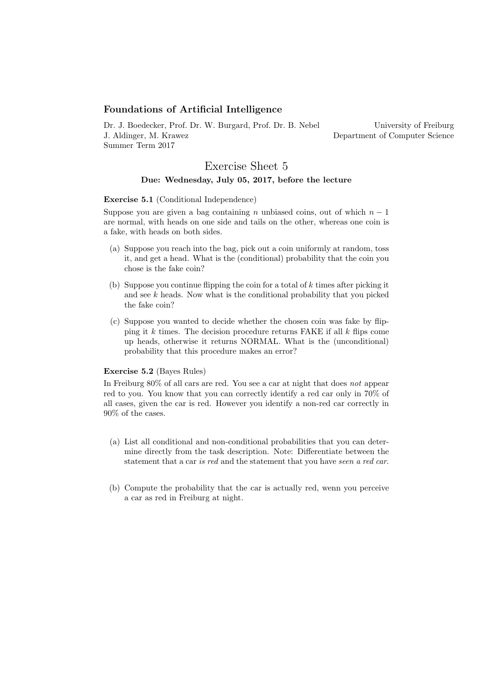### Foundations of Artificial Intelligence

Dr. J. Boedecker, Prof. Dr. W. Burgard, Prof. Dr. B. Nebel J. Aldinger, M. Krawez Summer Term 2017

University of Freiburg Department of Computer Science

# Exercise Sheet 5 Due: Wednesday, July 05, 2017, before the lecture

#### Exercise 5.1 (Conditional Independence)

Suppose you are given a bag containing n unbiased coins, out of which  $n-1$ are normal, with heads on one side and tails on the other, whereas one coin is a fake, with heads on both sides.

- (a) Suppose you reach into the bag, pick out a coin uniformly at random, toss it, and get a head. What is the (conditional) probability that the coin you chose is the fake coin?
- (b) Suppose you continue flipping the coin for a total of  $k$  times after picking it and see  $k$  heads. Now what is the conditional probability that you picked the fake coin?
- (c) Suppose you wanted to decide whether the chosen coin was fake by flipping it  $k$  times. The decision procedure returns FAKE if all  $k$  flips come up heads, otherwise it returns NORMAL. What is the (unconditional) probability that this procedure makes an error?

### Exercise 5.2 (Bayes Rules)

In Freiburg 80% of all cars are red. You see a car at night that does not appear red to you. You know that you can correctly identify a red car only in 70% of all cases, given the car is red. However you identify a non-red car correctly in 90% of the cases.

- (a) List all conditional and non-conditional probabilities that you can determine directly from the task description. Note: Differentiate between the statement that a car is red and the statement that you have seen a red car.
- (b) Compute the probability that the car is actually red, wenn you perceive a car as red in Freiburg at night.